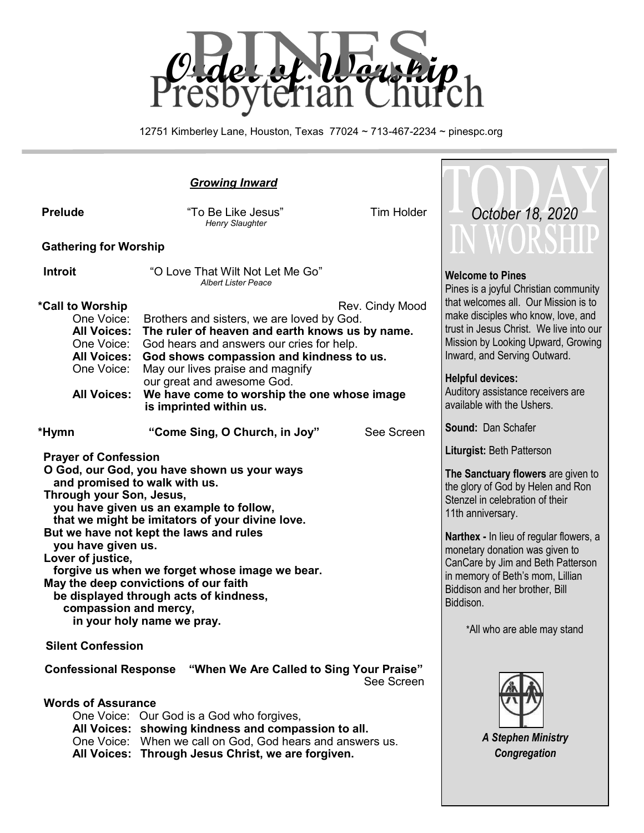

12751 Kimberley Lane, Houston, Texas 77024 ~ 713-467-2234 ~ pinespc.org

 $\Box$ 

| <b>Prelude</b>                                                                                                                                                                                                                                                                                                                                                                                                                                                                                                          | "To Be Like Jesus"<br>Henry Slaughter                                                                                                                                                                                                                                                                                      | <b>Tim Holder</b> | October 18, 2020                                                                                                                                                                                                                                                                                                                                                                                        |
|-------------------------------------------------------------------------------------------------------------------------------------------------------------------------------------------------------------------------------------------------------------------------------------------------------------------------------------------------------------------------------------------------------------------------------------------------------------------------------------------------------------------------|----------------------------------------------------------------------------------------------------------------------------------------------------------------------------------------------------------------------------------------------------------------------------------------------------------------------------|-------------------|---------------------------------------------------------------------------------------------------------------------------------------------------------------------------------------------------------------------------------------------------------------------------------------------------------------------------------------------------------------------------------------------------------|
| <b>Gathering for Worship</b>                                                                                                                                                                                                                                                                                                                                                                                                                                                                                            | IN WORSHII                                                                                                                                                                                                                                                                                                                 |                   |                                                                                                                                                                                                                                                                                                                                                                                                         |
| <b>Introit</b><br>*Call to Worship<br>One Voice:<br><b>All Voices:</b><br>One Voice:<br><b>All Voices:</b><br>One Voice:                                                                                                                                                                                                                                                                                                                                                                                                | "O Love That Wilt Not Let Me Go"<br><b>Albert Lister Peace</b><br>Brothers and sisters, we are loved by God.<br>The ruler of heaven and earth knows us by name.<br>God hears and answers our cries for help.<br>God shows compassion and kindness to us.<br>May our lives praise and magnify<br>our great and awesome God. | Rev. Cindy Mood   | <b>Welcome to Pines</b><br>Pines is a joyful Christian community<br>that welcomes all. Our Mission is to<br>make disciples who know, love, and<br>trust in Jesus Christ. We live into our<br>Mission by Looking Upward, Growing<br>Inward, and Serving Outward.<br><b>Helpful devices:</b>                                                                                                              |
| <b>All Voices:</b>                                                                                                                                                                                                                                                                                                                                                                                                                                                                                                      | We have come to worship the one whose image<br>is imprinted within us.                                                                                                                                                                                                                                                     |                   | Auditory assistance receivers are<br>available with the Ushers.                                                                                                                                                                                                                                                                                                                                         |
| *Hymn                                                                                                                                                                                                                                                                                                                                                                                                                                                                                                                   | "Come Sing, O Church, in Joy"                                                                                                                                                                                                                                                                                              | See Screen        | <b>Sound: Dan Schafer</b>                                                                                                                                                                                                                                                                                                                                                                               |
| <b>Prayer of Confession</b><br>O God, our God, you have shown us your ways<br>and promised to walk with us.<br>Through your Son, Jesus,<br>you have given us an example to follow,<br>that we might be imitators of your divine love.<br>But we have not kept the laws and rules<br>you have given us.<br>Lover of justice,<br>forgive us when we forget whose image we bear.<br>May the deep convictions of our faith<br>be displayed through acts of kindness,<br>compassion and mercy,<br>in your holy name we pray. |                                                                                                                                                                                                                                                                                                                            |                   | Liturgist: Beth Patterson<br>The Sanctuary flowers are given to<br>the glory of God by Helen and Ron<br>Stenzel in celebration of their<br>11th anniversary.<br><b>Narthex - In lieu of regular flowers, a</b><br>monetary donation was given to<br>CanCare by Jim and Beth Patterson<br>in memory of Beth's mom, Lillian<br>Biddison and her brother, Bill<br>Biddison.<br>*All who are able may stand |
| <b>Silent Confession</b>                                                                                                                                                                                                                                                                                                                                                                                                                                                                                                |                                                                                                                                                                                                                                                                                                                            |                   |                                                                                                                                                                                                                                                                                                                                                                                                         |
| <b>Confessional Response</b><br>"When We Are Called to Sing Your Praise"<br>See Screen<br><b>Words of Assurance</b><br>One Voice: Our God is a God who forgives,<br>All Voices: showing kindness and compassion to all.<br>One Voice: When we call on God, God hears and answers us.<br>All Voices: Through Jesus Christ, we are forgiven.                                                                                                                                                                              |                                                                                                                                                                                                                                                                                                                            |                   | <b>A Stephen Ministry</b><br>Congregation                                                                                                                                                                                                                                                                                                                                                               |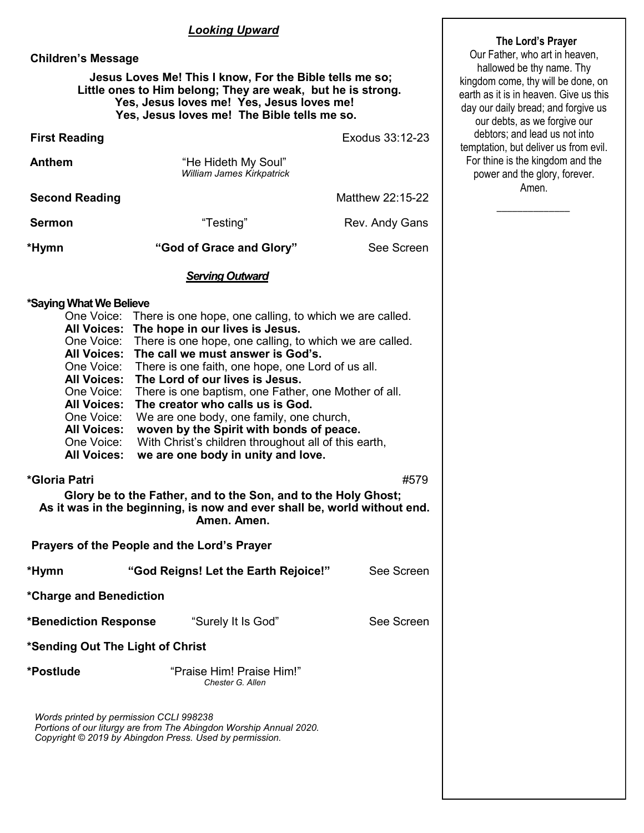#### *Looking Upward*

#### **Children's Message**

#### **Jesus Loves Me! This I know, For the Bible tells me so; Little ones to Him belong; They are weak, but he is strong. Yes, Jesus loves me! Yes, Jesus loves me! Yes, Jesus loves me! The Bible tells me so.**

| <b>First Reading</b>                                                                                                                                                                                                                                                                                                                                                                                                                                                                                                                                                                                                                                                                                                                                                                   |                                                         | Exodus 33:12-23  |  |  |  |
|----------------------------------------------------------------------------------------------------------------------------------------------------------------------------------------------------------------------------------------------------------------------------------------------------------------------------------------------------------------------------------------------------------------------------------------------------------------------------------------------------------------------------------------------------------------------------------------------------------------------------------------------------------------------------------------------------------------------------------------------------------------------------------------|---------------------------------------------------------|------------------|--|--|--|
| <b>Anthem</b>                                                                                                                                                                                                                                                                                                                                                                                                                                                                                                                                                                                                                                                                                                                                                                          | "He Hideth My Soul"<br><b>William James Kirkpatrick</b> |                  |  |  |  |
| <b>Second Reading</b>                                                                                                                                                                                                                                                                                                                                                                                                                                                                                                                                                                                                                                                                                                                                                                  |                                                         | Matthew 22:15-22 |  |  |  |
| <b>Sermon</b>                                                                                                                                                                                                                                                                                                                                                                                                                                                                                                                                                                                                                                                                                                                                                                          | "Testing"                                               | Rev. Andy Gans   |  |  |  |
| *Hymn                                                                                                                                                                                                                                                                                                                                                                                                                                                                                                                                                                                                                                                                                                                                                                                  | "God of Grace and Glory"                                | See Screen       |  |  |  |
|                                                                                                                                                                                                                                                                                                                                                                                                                                                                                                                                                                                                                                                                                                                                                                                        | <b>Serving Outward</b>                                  |                  |  |  |  |
| *Saying What We Believe<br>One Voice: There is one hope, one calling, to which we are called.<br>All Voices: The hope in our lives is Jesus.<br>There is one hope, one calling, to which we are called.<br>One Voice:<br>All Voices: The call we must answer is God's.<br>There is one faith, one hope, one Lord of us all.<br>One Voice:<br>All Voices: The Lord of our lives is Jesus.<br>There is one baptism, one Father, one Mother of all.<br>One Voice:<br><b>All Voices:</b><br>The creator who calls us is God.<br>We are one body, one family, one church,<br>One Voice:<br>woven by the Spirit with bonds of peace.<br><b>All Voices:</b><br>One Voice:<br>With Christ's children throughout all of this earth,<br><b>All Voices:</b><br>we are one body in unity and love. |                                                         |                  |  |  |  |
| *Gloria Patri<br>#579<br>Glory be to the Father, and to the Son, and to the Holy Ghost;<br>As it was in the beginning, is now and ever shall be, world without end.<br>Amen. Amen.                                                                                                                                                                                                                                                                                                                                                                                                                                                                                                                                                                                                     |                                                         |                  |  |  |  |
| Prayers of the People and the Lord's Prayer                                                                                                                                                                                                                                                                                                                                                                                                                                                                                                                                                                                                                                                                                                                                            |                                                         |                  |  |  |  |
| *Hymn                                                                                                                                                                                                                                                                                                                                                                                                                                                                                                                                                                                                                                                                                                                                                                                  | "God Reigns! Let the Earth Rejoice!"                    | See Screen       |  |  |  |
| *Charge and Benediction                                                                                                                                                                                                                                                                                                                                                                                                                                                                                                                                                                                                                                                                                                                                                                |                                                         |                  |  |  |  |
| <b>*Benediction Response</b>                                                                                                                                                                                                                                                                                                                                                                                                                                                                                                                                                                                                                                                                                                                                                           | "Surely It Is God"                                      | See Screen       |  |  |  |
| *Sending Out The Light of Christ                                                                                                                                                                                                                                                                                                                                                                                                                                                                                                                                                                                                                                                                                                                                                       |                                                         |                  |  |  |  |
| *Postlude                                                                                                                                                                                                                                                                                                                                                                                                                                                                                                                                                                                                                                                                                                                                                                              | "Praise Him! Praise Him!"<br>Chester G. Allen           |                  |  |  |  |
| Words printed by permission CCLI 998238<br>Portions of our liturgy are from The Abingdon Worship Annual 2020.<br>Copyright © 2019 by Abingdon Press. Used by permission.                                                                                                                                                                                                                                                                                                                                                                                                                                                                                                                                                                                                               |                                                         |                  |  |  |  |

#### **The Lord's Prayer**

Our Father, who art in heaven, hallowed be thy name. Thy kingdom come, thy will be done, on earth as it is in heaven. Give us this day our daily bread; and forgive us our debts, as we forgive our debtors; and lead us not into temptation, but deliver us from evil. For thine is the kingdom and the power and the glory, forever. Amen.

 $\overline{\phantom{a}}$  ,  $\overline{\phantom{a}}$  ,  $\overline{\phantom{a}}$  ,  $\overline{\phantom{a}}$  ,  $\overline{\phantom{a}}$  ,  $\overline{\phantom{a}}$  ,  $\overline{\phantom{a}}$  ,  $\overline{\phantom{a}}$  ,  $\overline{\phantom{a}}$  ,  $\overline{\phantom{a}}$  ,  $\overline{\phantom{a}}$  ,  $\overline{\phantom{a}}$  ,  $\overline{\phantom{a}}$  ,  $\overline{\phantom{a}}$  ,  $\overline{\phantom{a}}$  ,  $\overline{\phantom{a}}$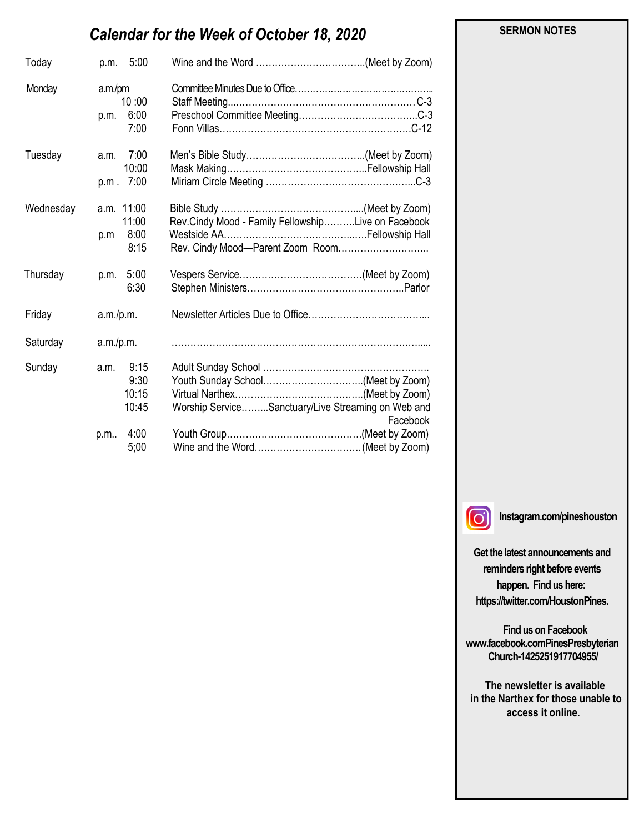# *Calendar for the Week of October 18, 2020*

| Today     | p.m. 5:00                                             |                                                                                        |
|-----------|-------------------------------------------------------|----------------------------------------------------------------------------------------|
| Monday    | a.m./pm<br>10:00<br>6:00<br>p.m.<br>7:00              |                                                                                        |
| Tuesday   | 7:00<br>a.m.<br>10:00<br>7:00<br>p.m.                 |                                                                                        |
| Wednesday | a.m. 11:00<br>11:00<br>8:00<br>p.m<br>8:15            | Rev.Cindy Mood - Family FellowshipLive on Facebook<br>Rev. Cindy Mood-Parent Zoom Room |
| Thursday  | p.m. 5:00<br>6:30                                     |                                                                                        |
| Friday    | a.m./p.m.                                             |                                                                                        |
| Saturday  | a.m./p.m.                                             |                                                                                        |
| Sunday    | 9:15<br>a.m.<br>9:30<br>10:15<br>10:45<br>4:00<br>p.m | Worship ServiceSanctuary/Live Streaming on Web and<br>Facebook                         |
|           | 5;00                                                  |                                                                                        |

 **SERMON NOTES** 

 $\lceil$ O

**Instagram.com/pineshouston**

**Get the latest announcements and reminders right before events happen. Find us here: https://twitter.com/HoustonPines.** 

 **Find us on Facebook www.facebook.comPinesPresbyterian Church-1425251917704955/**

 **The newsletter is available in the Narthex for those unable to access it online.**